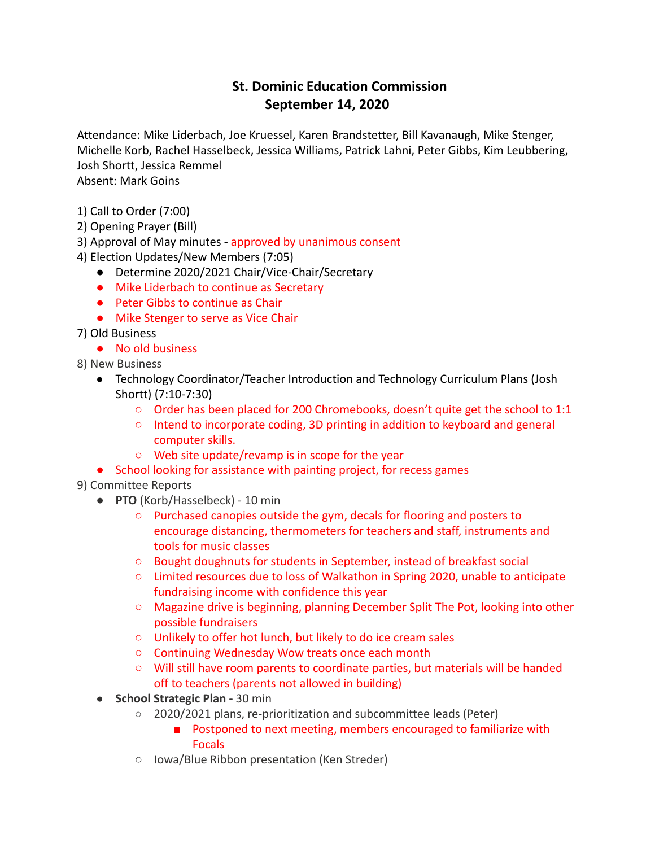## **St. Dominic Education Commission September 14, 2020**

Attendance: Mike Liderbach, Joe Kruessel, Karen Brandstetter, Bill Kavanaugh, Mike Stenger, Michelle Korb, Rachel Hasselbeck, Jessica Williams, Patrick Lahni, Peter Gibbs, Kim Leubbering, Josh Shortt, Jessica Remmel Absent: Mark Goins

1) Call to Order (7:00)

- 2) Opening Prayer (Bill)
- 3) Approval of May minutes approved by unanimous consent
- 4) Election Updates/New Members (7:05)
	- Determine 2020/2021 Chair/Vice-Chair/Secretary
	- Mike Liderbach to continue as Secretary
	- Peter Gibbs to continue as Chair
	- Mike Stenger to serve as Vice Chair
- 7) Old Business
	- No old business
- 8) New Business
	- Technology Coordinator/Teacher Introduction and Technology Curriculum Plans (Josh Shortt) (7:10-7:30)
		- Order has been placed for 200 Chromebooks, doesn't quite get the school to 1:1
		- Intend to incorporate coding, 3D printing in addition to keyboard and general computer skills.
		- Web site update/revamp is in scope for the year
	- School looking for assistance with painting project, for recess games
- 9) Committee Reports
	- **PTO** (Korb/Hasselbeck) 10 min
		- Purchased canopies outside the gym, decals for flooring and posters to encourage distancing, thermometers for teachers and staff, instruments and tools for music classes
		- Bought doughnuts for students in September, instead of breakfast social
		- Limited resources due to loss of Walkathon in Spring 2020, unable to anticipate fundraising income with confidence this year
		- Magazine drive is beginning, planning December Split The Pot, looking into other possible fundraisers
		- Unlikely to offer hot lunch, but likely to do ice cream sales
		- Continuing Wednesday Wow treats once each month
		- Will still have room parents to coordinate parties, but materials will be handed off to teachers (parents not allowed in building)
	- **School Strategic Plan -** 30 min
		- 2020/2021 plans, re-prioritization and subcommittee leads (Peter)
			- Postponed to next meeting, members encouraged to familiarize with Focals
		- Iowa/Blue Ribbon presentation (Ken Streder)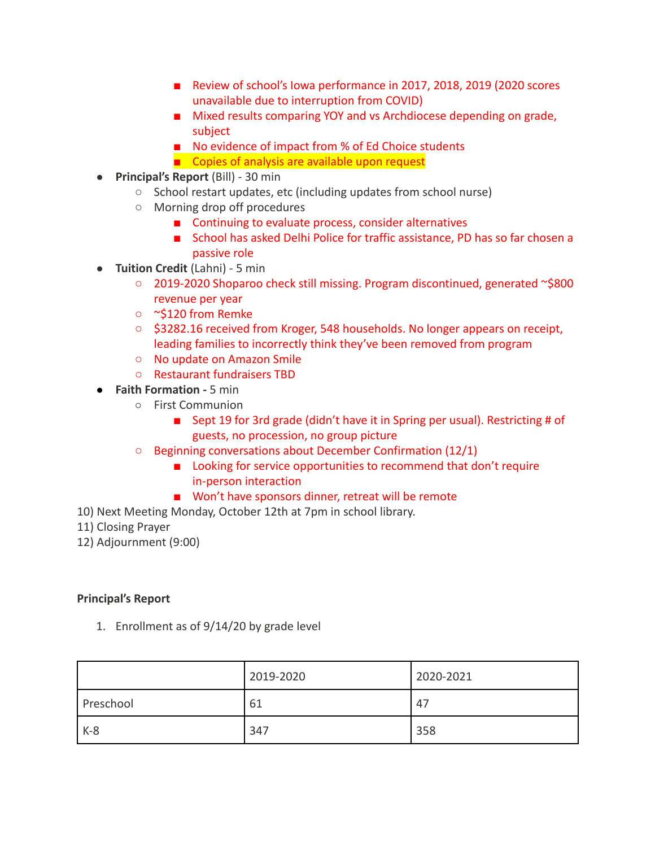- Review of school's Iowa performance in 2017, 2018, 2019 (2020 scores unavailable due to interruption from COVID)
- Mixed results comparing YOY and vs Archdiocese depending on grade, subject
- No evidence of impact from % of Ed Choice students
- Copies of analysis are available upon request
- **Principal's Report** (Bill) 30 min
	- School restart updates, etc (including updates from school nurse)
	- Morning drop off procedures
		- Continuing to evaluate process, consider alternatives
		- School has asked Delhi Police for traffic assistance, PD has so far chosen a passive role
- **Tuition Credit** (Lahni) 5 min
	- 2019-2020 Shoparoo check still missing. Program discontinued, generated ~\$800 revenue per year
	- ~\$120 from Remke
	- \$3282.16 received from Kroger, 548 households. No longer appears on receipt, leading families to incorrectly think they've been removed from program
	- No update on Amazon Smile
	- Restaurant fundraisers TBD
- **Faith Formation -** 5 min
	- First Communion
		- Sept 19 for 3rd grade (didn't have it in Spring per usual). Restricting # of guests, no procession, no group picture
	- Beginning conversations about December Confirmation (12/1)
		- Looking for service opportunities to recommend that don't require in-person interaction
		- Won't have sponsors dinner, retreat will be remote
- 10) Next Meeting Monday, October 12th at 7pm in school library.
- 11) Closing Prayer
- 12) Adjournment (9:00)

## **Principal's Report**

1. Enrollment as of 9/14/20 by grade level

|           | 2019-2020 | 2020-2021 |
|-----------|-----------|-----------|
| Preschool | 61        | 47        |
| $K-8$     | 347       | 358       |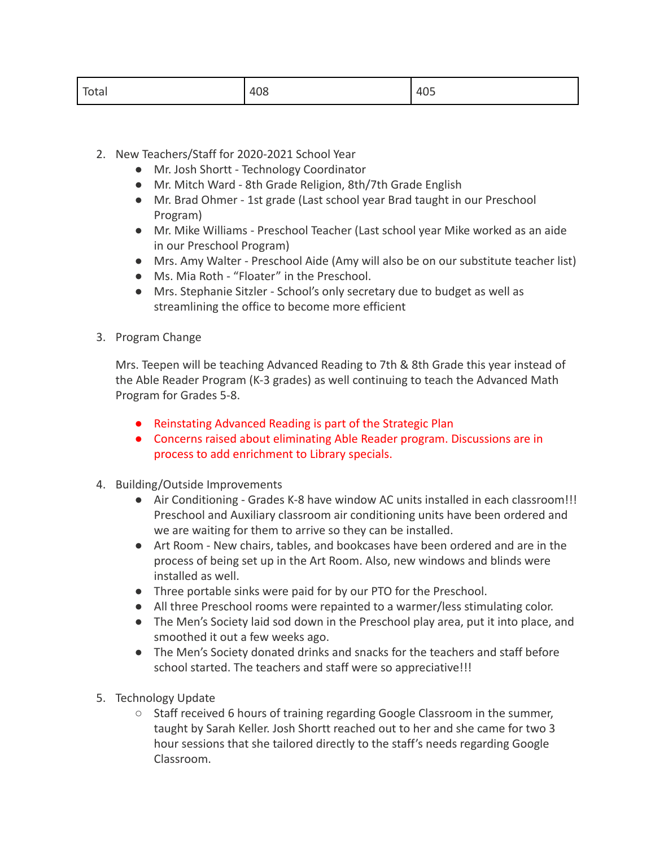| Total | 408 | 405 |
|-------|-----|-----|
|-------|-----|-----|

- 2. New Teachers/Staff for 2020-2021 School Year
	- Mr. Josh Shortt Technology Coordinator
	- Mr. Mitch Ward 8th Grade Religion, 8th/7th Grade English
	- Mr. Brad Ohmer 1st grade (Last school year Brad taught in our Preschool Program)
	- Mr. Mike Williams Preschool Teacher (Last school year Mike worked as an aide in our Preschool Program)
	- Mrs. Amy Walter Preschool Aide (Amy will also be on our substitute teacher list)
	- Ms. Mia Roth "Floater" in the Preschool.
	- Mrs. Stephanie Sitzler School's only secretary due to budget as well as streamlining the office to become more efficient
- 3. Program Change

Mrs. Teepen will be teaching Advanced Reading to 7th & 8th Grade this year instead of the Able Reader Program (K-3 grades) as well continuing to teach the Advanced Math Program for Grades 5-8.

- Reinstating Advanced Reading is part of the Strategic Plan
- Concerns raised about eliminating Able Reader program. Discussions are in process to add enrichment to Library specials.
- 4. Building/Outside Improvements
	- Air Conditioning Grades K-8 have window AC units installed in each classroom!!! Preschool and Auxiliary classroom air conditioning units have been ordered and we are waiting for them to arrive so they can be installed.
	- Art Room New chairs, tables, and bookcases have been ordered and are in the process of being set up in the Art Room. Also, new windows and blinds were installed as well.
	- Three portable sinks were paid for by our PTO for the Preschool.
	- All three Preschool rooms were repainted to a warmer/less stimulating color.
	- The Men's Society laid sod down in the Preschool play area, put it into place, and smoothed it out a few weeks ago.
	- The Men's Society donated drinks and snacks for the teachers and staff before school started. The teachers and staff were so appreciative!!!
- 5. Technology Update
	- Staff received 6 hours of training regarding Google Classroom in the summer, taught by Sarah Keller. Josh Shortt reached out to her and she came for two 3 hour sessions that she tailored directly to the staff's needs regarding Google Classroom.